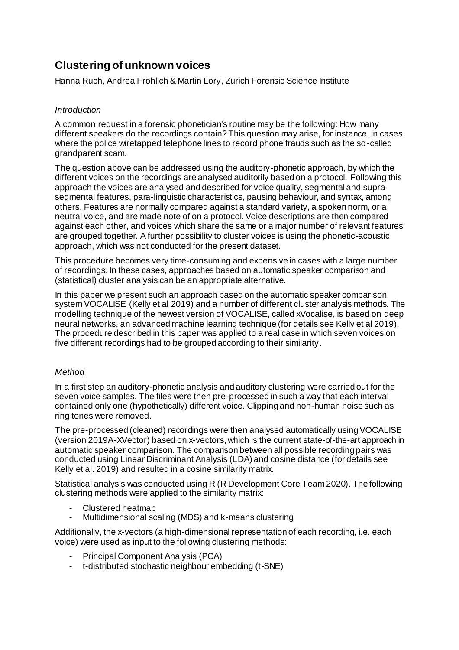# **Clustering of unknown voices**

Hanna Ruch, Andrea Fröhlich & Martin Lory, Zurich Forensic Science Institute

## *Introduction*

A common request in a forensic phonetician's routine may be the following: How many different speakers do the recordings contain? This question may arise, for instance, in cases where the police wiretapped telephone lines to record phone frauds such as the so-called grandparent scam.

The question above can be addressed using the auditory-phonetic approach, by which the different voices on the recordings are analysed auditorily based on a protocol. Following this approach the voices are analysed and described for voice quality, segmental and suprasegmental features, para-linguistic characteristics, pausing behaviour, and syntax, among others. Features are normally compared against a standard variety, a spoken norm, or a neutral voice, and are made note of on a protocol. Voice descriptions are then compared against each other, and voices which share the same or a major number of relevant features are grouped together. A further possibility to cluster voices is using the phonetic-acoustic approach, which was not conducted for the present dataset.

This procedure becomes very time-consuming and expensive in cases with a large number of recordings. In these cases, approaches based on automatic speaker comparison and (statistical) cluster analysis can be an appropriate alternative.

In this paper we present such an approach based on the automatic speaker comparison system VOCALISE (Kelly et al 2019) and a number of different cluster analysis methods. The modelling technique of the newest version of VOCALISE, called xVocalise, is based on deep neural networks, an advanced machine learning technique (for details see Kelly et al 2019). The procedure described in this paper was applied to a real case in which seven voices on five different recordings had to be grouped according to their similarity.

## *Method*

In a first step an auditory-phonetic analysis and auditory clustering were carried out for the seven voice samples. The files were then pre-processed in such a way that each interval contained only one (hypothetically) different voice. Clipping and non-human noise such as ring tones were removed.

The pre-processed (cleaned) recordings were then analysed automatically using VOCALISE (version 2019A-XVector) based on x-vectors, which is the current state-of-the-art approach in automatic speaker comparison. The comparison between all possible recording pairs was conducted using Linear Discriminant Analysis (LDA) and cosine distance (for details see Kelly et al. 2019) and resulted in a cosine similarity matrix.

Statistical analysis was conducted using R (R Development Core Team 2020). The following clustering methods were applied to the similarity matrix:

- Clustered heatmap
- Multidimensional scaling (MDS) and k-means clustering

Additionally, the x-vectors (a high-dimensional representation of each recording, i.e. each voice) were used as input to the following clustering methods:

- Principal Component Analysis (PCA)
- t-distributed stochastic neighbour embedding (t-SNE)